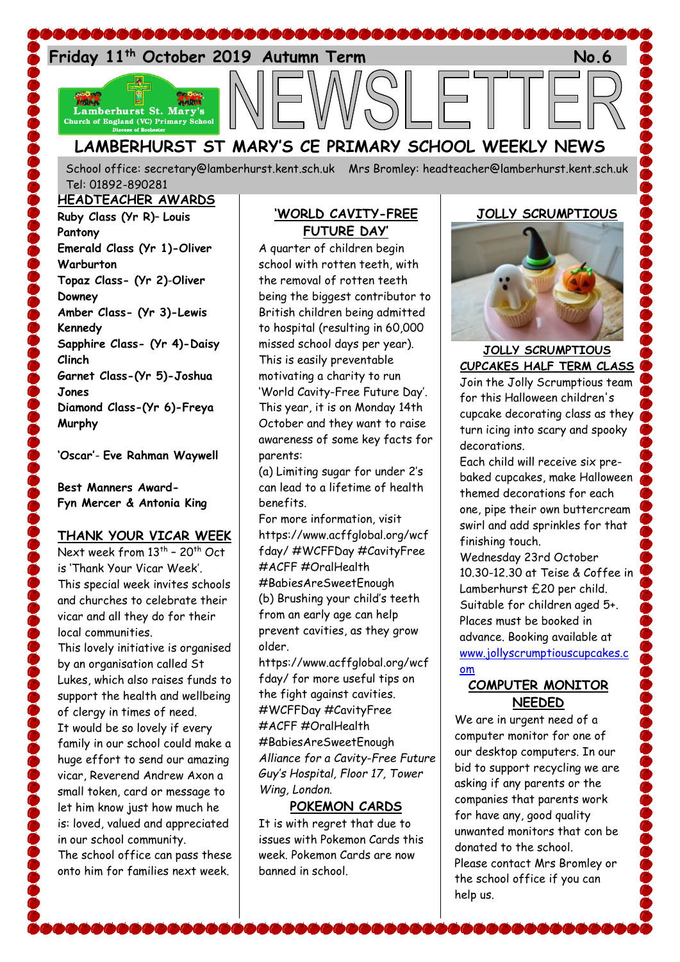

School office: [secretary@lamberhurst.kent.sch.uk](mailto:secretary@lamberhurst.kent.sch.uk) Mrs Bromley: headteacher@lamberhurst.kent.sch.uk Tel: 01892-890281

**HEADTEACHER AWARDS**

**Ruby Class (Yr R)**– **Louis Pantony Emerald Class (Yr 1)-Oliver Warburton Topaz Class- (Yr 2)**-**Oliver Downey Amber Class- (Yr 3)-Lewis Kennedy Sapphire Class- (Yr 4)-Daisy Clinch Garnet Class-(Yr 5)-Joshua Jones Diamond Class-(Yr 6)-Freya Murphy**

**'Oscar'**- **Eve Rahman Waywell**

### **Best Manners Award-Fyn Mercer & Antonia King**

## **THANK YOUR VICAR WEEK**

Next week from 13<sup>th</sup> - 20<sup>th</sup> Oct is 'Thank Your Vicar Week'. This special week invites schools and churches to celebrate their vicar and all they do for their local communities. This lovely initiative is organised

by an organisation called St Lukes, which also raises funds to support the health and wellbeing of clergy in times of need. It would be so lovely if every family in our school could make a huge effort to send our amazing vicar, Reverend Andrew Axon a small token, card or message to let him know just how much he is: loved, valued and appreciated in our school community. The school office can pass these onto him for families next week.

## **'WORLD CAVITY-FREE FUTURE DAY'**

A quarter of children begin school with rotten teeth, with the removal of rotten teeth being the biggest contributor to British children being admitted to hospital (resulting in 60,000 missed school days per year). This is easily preventable motivating a charity to run 'World Cavity-Free Future Day'. This year, it is on Monday 14th October and they want to raise awareness of some key facts for parents:

(a) Limiting sugar for under 2's can lead to a lifetime of health benefits.

For more information, visit https://www.acffglobal.org/wcf fday/ #WCFFDay #CavityFree #ACFF #OralHealth #BabiesAreSweetEnough (b) Brushing your child's teeth from an early age can help prevent cavities, as they grow older.

https://www.acffglobal.org/wcf fday/ for more useful tips on the fight against cavities. #WCFFDay #CavityFree #ACFF #OralHealth #BabiesAreSweetEnough *Alliance for a Cavity-Free Future Guy's Hospital, Floor 17, Tower Wing, London.*

## **POKEMON CARDS**

It is with regret that due to issues with Pokemon Cards this week. Pokemon Cards are now banned in school.

## **JOLLY SCRUMPTIOUS**



## **JOLLY SCRUMPTIOUS CUPCAKES HALF TERM CLASS**

Join the Jolly Scrumptious team for this Halloween children's cupcake decorating class as they turn icing into scary and spooky decorations.

Each child will receive six prebaked cupcakes, make Halloween themed decorations for each one, pipe their own buttercream swirl and add sprinkles for that finishing touch.

Wednesday 23rd October 10.30-12.30 at Teise & Coffee in Lamberhurst £20 per child. Suitable for children aged 5+. Places must be booked in advance. Booking available at [www.jollyscrumptiouscupcakes.c](http://www.jollyscrumptiouscupcakes.com/) [om](http://www.jollyscrumptiouscupcakes.com/)

## **COMPUTER MONITOR NEEDED**

We are in urgent need of a computer monitor for one of our desktop computers. In our bid to support recycling we are asking if any parents or the companies that parents work for have any, good quality unwanted monitors that con be donated to the school. Please contact Mrs Bromley or the school office if you can help us.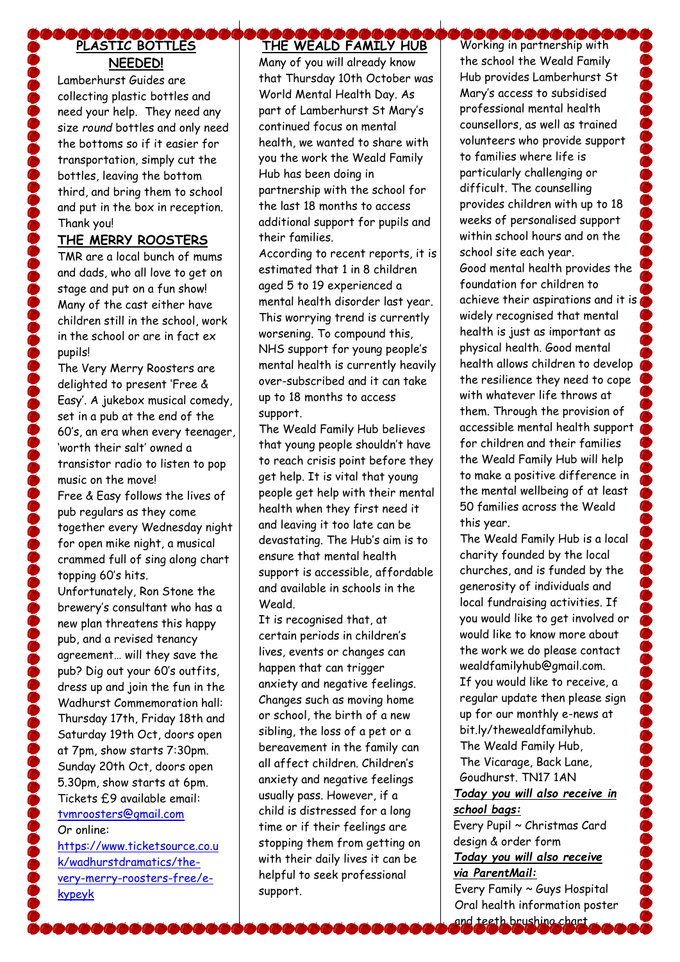# **PLASTIC BOTTLES NEEDED!**

Lamberhurst Guides are collecting plastic bottles and need your help. They need any size *round* bottles and only need the bottoms so if it easier for transportation, simply cut the bottles, leaving the bottom third, and bring them to school and put in the box in reception. Thank you!

### **THE MERRY ROOSTERS**

TMR are a local bunch of mums and dads, who all love to get on stage and put on a fun show! Many of the cast either have children still in the school, work in the school or are in fact ex pupils!

The Very Merry Roosters are delighted to present 'Free & Easy'. A jukebox musical comedy, set in a pub at the end of the 60's, an era when every teenager, 'worth their salt' owned a transistor radio to listen to pop music on the move! Free & Easy follows the lives of pub regulars as they come together every Wednesday night for open mike night, a musical crammed full of sing along chart topping 60's hits. Unfortunately, Ron Stone the brewery's consultant who has a new plan threatens this happy pub, and a revised tenancy agreement… will they save the pub? Dig out your 60's outfits, dress up and join the fun in the Wadhurst Commemoration hall: Thursday 17th, Friday 18th and Saturday 19th Oct, doors open at 7pm, show starts 7:30pm. Sunday 20th Oct, doors open 5.30pm, show starts at 6pm. Tickets £9 available email: [tvmroosters@gmail.com](mailto:tvmroosters@gmail.com) Or online:

[https://www.ticketsource.co.u](https://www.ticketsource.co.uk/wadhurstdramatics/the-very-merry-roosters-free/e-kypeyk) [k/wadhurstdramatics/the](https://www.ticketsource.co.uk/wadhurstdramatics/the-very-merry-roosters-free/e-kypeyk)[very-merry-roosters-free/e](https://www.ticketsource.co.uk/wadhurstdramatics/the-very-merry-roosters-free/e-kypeyk)[kypeyk](https://www.ticketsource.co.uk/wadhurstdramatics/the-very-merry-roosters-free/e-kypeyk)

# **THE WEALD FAMILY HUB**

Many of you will already know that Thursday 10th October was World Mental Health Day. As part of Lamberhurst St Mary's continued focus on mental health, we wanted to share with you the work the Weald Family Hub has been doing in partnership with the school for the last 18 months to access additional support for pupils and their families.

According to recent reports, it is estimated that 1 in 8 children aged 5 to 19 experienced a mental health disorder last year. This worrying trend is currently worsening. To compound this, NHS support for young people's mental health is currently heavily over-subscribed and it can take up to 18 months to access support.

The Weald Family Hub believes that young people shouldn't have to reach crisis point before they get help. It is vital that young people get help with their mental health when they first need it and leaving it too late can be devastating. The Hub's aim is to ensure that mental health support is accessible, affordable and available in schools in the Weald.

It is recognised that, at certain periods in children's lives, events or changes can happen that can trigger anxiety and negative feelings. Changes such as moving home or school, the birth of a new sibling, the loss of a pet or a bereavement in the family can all affect children. Children's anxiety and negative feelings usually pass. However, if a child is distressed for a long time or if their feelings are stopping them from getting on with their daily lives it can be helpful to seek professional support.

**COOOOOOOOOOO** the school the Weald Family Hub provides Lamberhurst St Mary's access to subsidised professional mental health counsellors, as well as trained volunteers who provide support to families where life is particularly challenging or difficult. The counselling provides children with up to 18 weeks of personalised support within school hours and on the school site each year. Good mental health provides the foundation for children to achieve their aspirations and it is widely recognised that mental health is just as important as physical health. Good mental health allows children to develop the resilience they need to cope with whatever life throws at them. Through the provision of accessible mental health support for children and their families the Weald Family Hub will help to make a positive difference in the mental wellbeing of at least 50 families across the Weald this year.

The Weald Family Hub is a local charity founded by the local churches, and is funded by the generosity of individuals and local fundraising activities. If you would like to get involved or would like to know more about the work we do please contact wealdfamilyhub@gmail.com. If you would like to receive, a regular update then please sign up for our monthly e-news at bit.ly/thewealdfamilyhub. The Weald Family Hub, The Vicarage, Back Lane, Goudhurst. TN17 1AN

### *Today you will also receive in school bags:*

Every Pupil ~ Christmas Card design & order form *Today you will also receive via ParentMail:*

Every Family ~ Guys Hospital Oral health information poster and teeth brushing chart